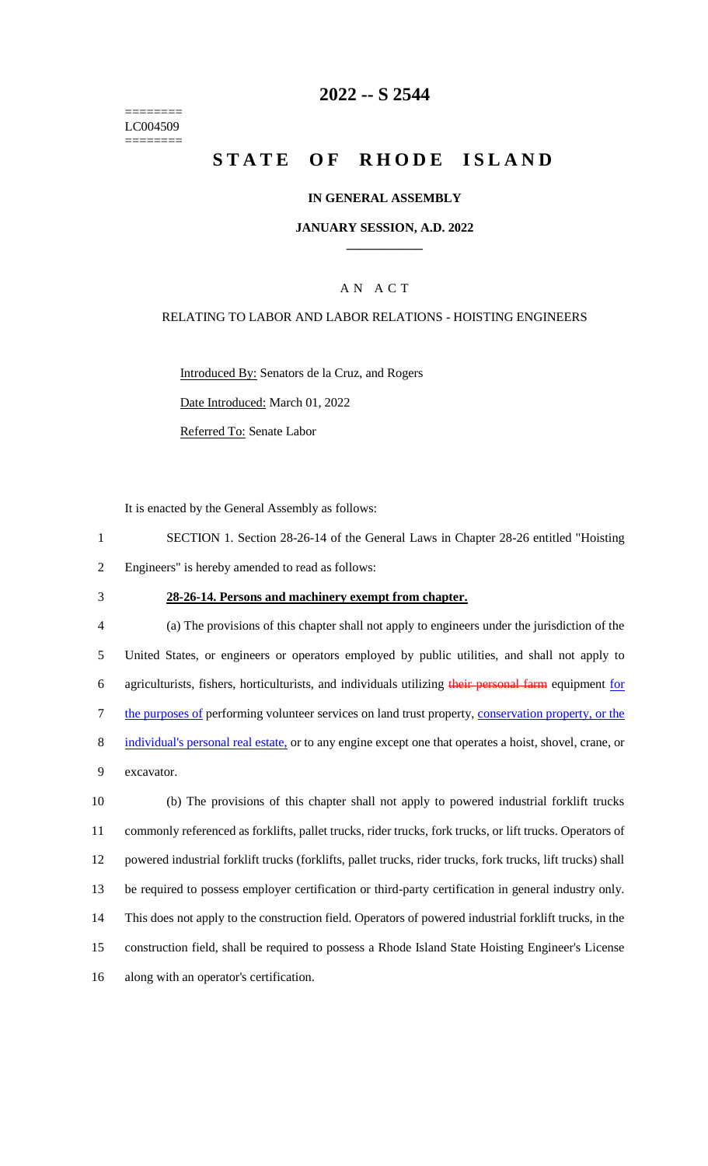======== LC004509 ========

### **2022 -- S 2544**

# **STATE OF RHODE ISLAND**

#### **IN GENERAL ASSEMBLY**

#### **JANUARY SESSION, A.D. 2022 \_\_\_\_\_\_\_\_\_\_\_\_**

### A N A C T

#### RELATING TO LABOR AND LABOR RELATIONS - HOISTING ENGINEERS

Introduced By: Senators de la Cruz, and Rogers

Date Introduced: March 01, 2022

Referred To: Senate Labor

It is enacted by the General Assembly as follows:

- 1 SECTION 1. Section 28-26-14 of the General Laws in Chapter 28-26 entitled "Hoisting 2 Engineers" is hereby amended to read as follows:
- 3 **28-26-14. Persons and machinery exempt from chapter.**

 (a) The provisions of this chapter shall not apply to engineers under the jurisdiction of the United States, or engineers or operators employed by public utilities, and shall not apply to 6 agriculturists, fishers, horticulturists, and individuals utilizing their personal farm equipment for the purposes of performing volunteer services on land trust property, conservation property, or the 8 individual's personal real estate, or to any engine except one that operates a hoist, shovel, crane, or excavator.

 (b) The provisions of this chapter shall not apply to powered industrial forklift trucks commonly referenced as forklifts, pallet trucks, rider trucks, fork trucks, or lift trucks. Operators of powered industrial forklift trucks (forklifts, pallet trucks, rider trucks, fork trucks, lift trucks) shall be required to possess employer certification or third-party certification in general industry only. This does not apply to the construction field. Operators of powered industrial forklift trucks, in the construction field, shall be required to possess a Rhode Island State Hoisting Engineer's License along with an operator's certification.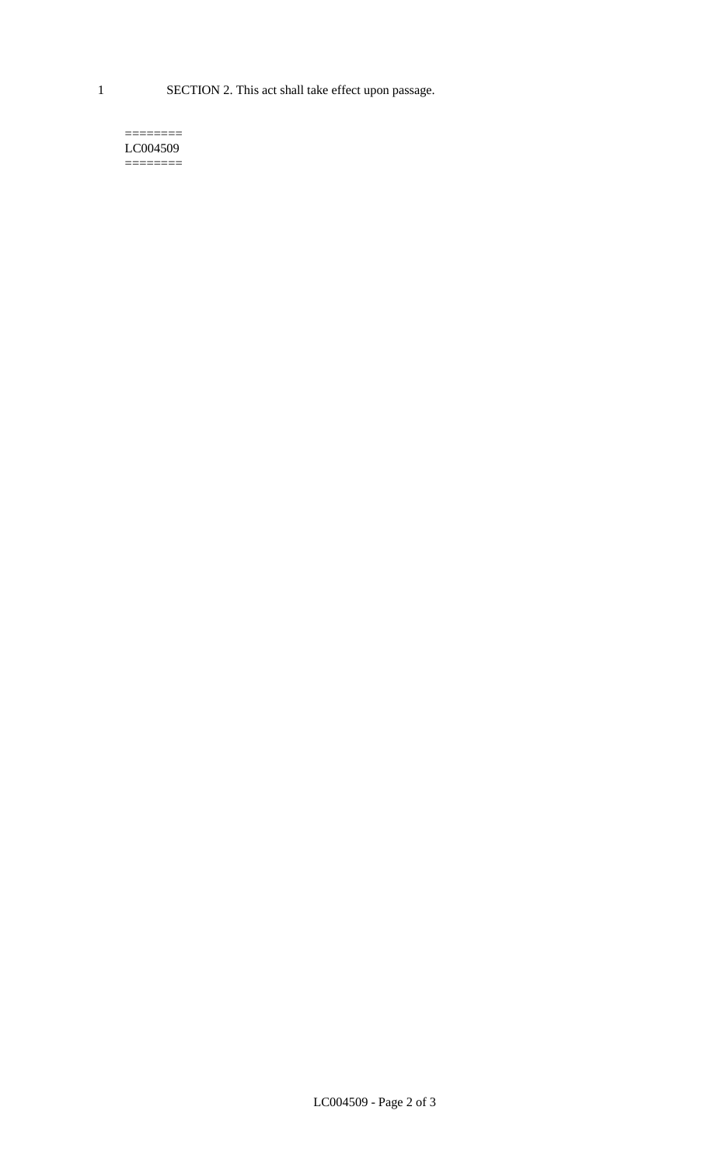1 SECTION 2. This act shall take effect upon passage.

#### $=$ LC004509  $=$

LC004509 - Page 2 of 3